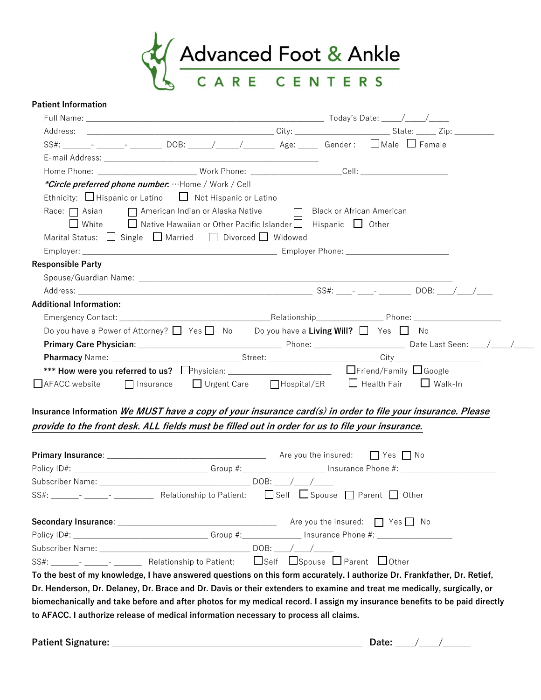

### Patient Information

|                                                                                                                | Home Phone: ____________________________Work Phone: ________________________Cell: ____________________________     |
|----------------------------------------------------------------------------------------------------------------|--------------------------------------------------------------------------------------------------------------------|
| <i>*Circle preferred phone number</i> : ···Home / Work / Cell                                                  |                                                                                                                    |
| Ethnicity: $\Box$ Hispanic or Latino $\Box$ Not Hispanic or Latino                                             |                                                                                                                    |
|                                                                                                                |                                                                                                                    |
| $\Box$ White $\Box$ Native Hawaiian or Other Pacific Islander $\Box$ Hispanic $\Box$ Other                     |                                                                                                                    |
| Marital Status: $\Box$ Single $\Box$ Married $\Box$ Divorced $\Box$ Widowed                                    |                                                                                                                    |
|                                                                                                                |                                                                                                                    |
| <b>Responsible Party</b>                                                                                       |                                                                                                                    |
|                                                                                                                |                                                                                                                    |
|                                                                                                                |                                                                                                                    |
| <b>Additional Information:</b>                                                                                 |                                                                                                                    |
|                                                                                                                |                                                                                                                    |
|                                                                                                                |                                                                                                                    |
|                                                                                                                | Do you have a Power of Attorney? $\Box$ Yes $\Box$ No Do you have a Living Will? $\Box$ Yes $\Box$ No              |
|                                                                                                                |                                                                                                                    |
|                                                                                                                |                                                                                                                    |
|                                                                                                                |                                                                                                                    |
| $\Box$ AFACC website                                                                                           | □ Insurance □ Urgent Care □ Hospital/ER □ Health Fair □ Walk-In                                                    |
| provide to the front desk. ALL fields must be filled out in order for us to file your insurance.               | Insurance Information <i>We MUST have a copy of your insurance card(s) in order to file your insurance. Please</i> |
|                                                                                                                |                                                                                                                    |
|                                                                                                                |                                                                                                                    |
|                                                                                                                |                                                                                                                    |
|                                                                                                                |                                                                                                                    |
| SS#: _______- ___________________Relationship to Patient: $\Box$ Self $\Box$ Spouse $\Box$ Parent $\Box$ Other |                                                                                                                    |
|                                                                                                                |                                                                                                                    |
|                                                                                                                |                                                                                                                    |
|                                                                                                                |                                                                                                                    |

Patient Signature: \_\_\_\_\_\_\_\_\_\_\_\_\_\_\_\_\_\_\_\_\_\_\_\_\_\_\_\_\_\_\_\_\_\_\_\_\_\_\_\_\_\_\_\_\_\_\_\_\_\_\_\_\_\_\_\_\_\_\_\_\_\_\_ Date: \_\_\_\_\_/\_\_\_\_\_/\_\_\_\_\_\_\_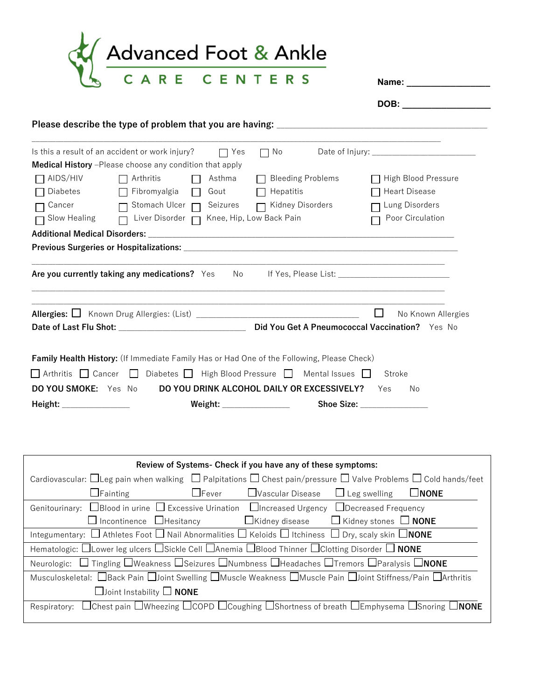

| Name: |  |  |  |  |
|-------|--|--|--|--|
|       |  |  |  |  |
|       |  |  |  |  |

| DOB: |  |  |  |
|------|--|--|--|
|      |  |  |  |

# Please describe the type of problem that you are having: \_\_\_\_\_\_\_\_\_\_\_\_\_\_\_\_\_\_\_\_\_\_\_

|                      | Is this a result of an accident or work injury?                                                       | $\Box$ Yes    | ヿ No                                       |                              |
|----------------------|-------------------------------------------------------------------------------------------------------|---------------|--------------------------------------------|------------------------------|
|                      | Medical History -Please choose any condition that apply                                               |               |                                            |                              |
| AIDS/HIV             | $\Box$ Arthritis                                                                                      | Asthma        | <b>Bleeding Problems</b>                   | □ High Blood Pressure        |
| Diabetes             | $\Box$ Fibromyalgia $\Box$                                                                            | Gout <b>F</b> | Hepatitis                                  | □ Heart Disease              |
| Cancer               | Stomach Ulcer n Seizures n Kidney Disorders<br>$\Box$                                                 |               |                                            | □ Lung Disorders             |
| Slow Healing $\Box$  | Liver Disorder   Knee, Hip, Low Back Pain                                                             |               |                                            | Poor Circulation             |
|                      |                                                                                                       |               |                                            |                              |
|                      |                                                                                                       |               |                                            |                              |
|                      |                                                                                                       |               |                                            |                              |
|                      | Are you currently taking any medications? Yes No If Yes, Please List: ______________________________  |               |                                            |                              |
|                      |                                                                                                       |               |                                            |                              |
|                      |                                                                                                       |               |                                            |                              |
|                      | <b>Allergies:</b> $\Box$ Known Drug Allergies: (List) __________________________________              |               |                                            | $\Box$<br>No Known Allergies |
|                      |                                                                                                       |               |                                            |                              |
|                      |                                                                                                       |               |                                            |                              |
|                      | Family Health History: (If Immediate Family Has or Had One of the Following, Please Check)            |               |                                            |                              |
|                      | $\Box$ Arthritis $\Box$ Cancer $\Box$ Diabetes $\Box$ High Blood Pressure $\Box$ Mental Issues $\Box$ |               |                                            | Stroke                       |
|                      |                                                                                                       |               |                                            |                              |
|                      |                                                                                                       |               |                                            |                              |
| DO YOU SMOKE: Yes No |                                                                                                       |               | DO YOU DRINK ALCOHOL DAILY OR EXCESSIVELY? | Yes<br>No                    |

| Review of Systems- Check if you have any of these symptoms:                                                                                          |  |  |  |  |  |  |
|------------------------------------------------------------------------------------------------------------------------------------------------------|--|--|--|--|--|--|
| Cardiovascular: $\Box$ Leg pain when walking $\Box$ Palpitations $\Box$ Chest pain/pressure $\Box$ Valve Problems $\Box$ Cold hands/feet             |  |  |  |  |  |  |
| $\Box$ Fainting<br>$\Box$ Fever<br><b>∐Vascular Disease</b><br>$\Box$ Leg swelling<br>$\Box$ NONE                                                    |  |  |  |  |  |  |
| Genitourinary: $\Box$ Blood in urine $\Box$ Excessive Urination $\Box$ Increased Urgency $\Box$ Decreased Frequency                                  |  |  |  |  |  |  |
| $\Box$ Incontinence $\Box$ Hesitancy $\Box$ Kidney disease $\Box$ Kidney stones $\Box$ <b>NONE</b>                                                   |  |  |  |  |  |  |
| Integumentary: $\Box$ Athletes Foot $\Box$ Nail Abnormalities $\Box$ Keloids $\Box$ Itchiness $\Box$ Dry, scaly skin $\Box$ NONE                     |  |  |  |  |  |  |
| Hematologic: $\Box$ Lower leg ulcers $\Box$ Sickle Cell $\Box$ Anemia $\Box$ Blood Thinner $\Box$ Clotting Disorder $\Box$ NONE                      |  |  |  |  |  |  |
| □ Tingling □Weakness □Seizures □Numbness □Headaches □Tremors □Paralysis □NONE<br>Neurologic:                                                         |  |  |  |  |  |  |
| Musculoskeletal: UBack Pain UJoint Swelling UMuscle Weakness UMuscle Pain UJoint Stiffness/Pain UArthritis                                           |  |  |  |  |  |  |
| $\Box$ Joint Instability $\Box$ NONE                                                                                                                 |  |  |  |  |  |  |
| $\Box$ Chest pain $\Box$ Wheezing $\Box$ COPD $\Box$ Coughing $\Box$ Shortness of breath $\Box$ Emphysema $\Box$ Snoring $\Box$ NONE<br>Respiratory: |  |  |  |  |  |  |
|                                                                                                                                                      |  |  |  |  |  |  |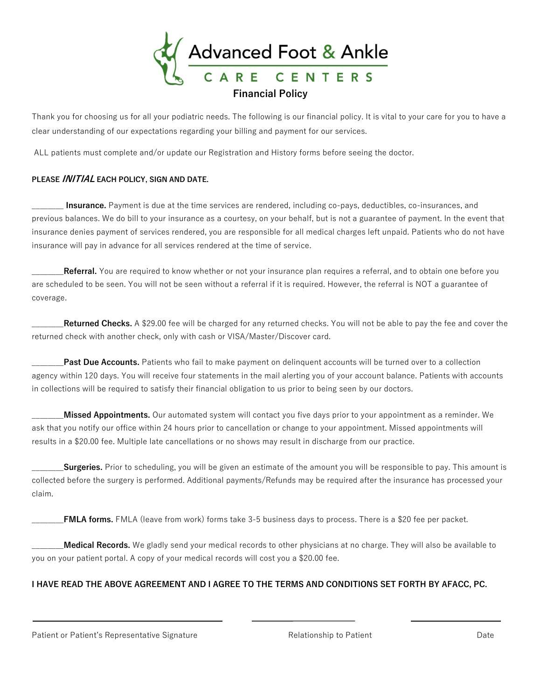

Thank you for choosing us for all your podiatric needs. The following is our financial policy. It is vital to your care for you to have a clear understanding of our expectations regarding your billing and payment for our services.

ALL patients must complete and/or update our Registration and History forms before seeing the doctor.

### PLEASE **INITIAL** EACH POLICY, SIGN AND DATE.

Insurance. Payment is due at the time services are rendered, including co-pays, deductibles, co-insurances, and previous balances. We do bill to your insurance as a courtesy, on your behalf, but is not a guarantee of payment. In the event that insurance denies payment of services rendered, you are responsible for all medical charges left unpaid. Patients who do not have insurance will pay in advance for all services rendered at the time of service.

Referral. You are required to know whether or not your insurance plan requires a referral, and to obtain one before you are scheduled to be seen. You will not be seen without a referral if it is required. However, the referral is NOT a guarantee of coverage.

Returned Checks. A \$29.00 fee will be charged for any returned checks. You will not be able to pay the fee and cover the returned check with another check, only with cash or VISA/Master/Discover card.

Past Due Accounts. Patients who fail to make payment on delinquent accounts will be turned over to a collection agency within 120 days. You will receive four statements in the mail alerting you of your account balance. Patients with accounts in collections will be required to satisfy their financial obligation to us prior to being seen by our doctors.

**Missed Appointments.** Our automated system will contact you five days prior to your appointment as a reminder. We ask that you notify our office within 24 hours prior to cancellation or change to your appointment. Missed appointments will results in a \$20.00 fee. Multiple late cancellations or no shows may result in discharge from our practice.

Surgeries. Prior to scheduling, you will be given an estimate of the amount you will be responsible to pay. This amount is collected before the surgery is performed. Additional payments/Refunds may be required after the insurance has processed your claim.

FMLA forms. FMLA (leave from work) forms take 3-5 business days to process. There is a \$20 fee per packet.

Medical Records. We gladly send your medical records to other physicians at no charge. They will also be available to you on your patient portal. A copy of your medical records will cost you a \$20.00 fee.

# I HAVE READ THE ABOVE AGREEMENT AND I AGREE TO THE TERMS AND CONDITIONS SET FORTH BY AFACC, PC.

Patient or Patient's Representative Signature **Relationship to Patient** Communicationship to Patient Date